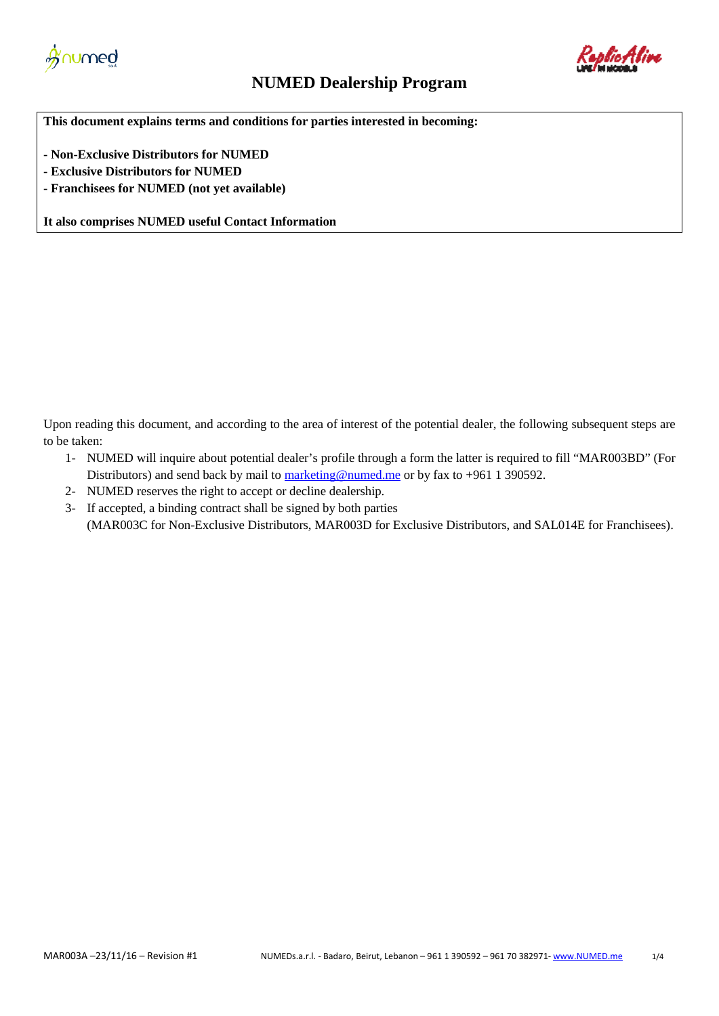



## **NUMED Dealership Program**

**This document explains terms and conditions for parties interested in becoming:**

**- Non-Exclusive Distributors for NUMED**

- **- Exclusive Distributors for NUMED**
- **- Franchisees for NUMED (not yet available)**

**It also comprises NUMED useful Contact Information**

Upon reading this document, and according to the area of interest of the potential dealer, the following subsequent steps are to be taken:

- 1- NUMED will inquire about potential dealer's profile through a form the latter is required to fill "MAR003BD" (For Distributors) and send back by mail to  $\frac{\text{marketing@numedme}}{\text{numedme}}$  or by fax to +961 1 390592.
- 2- NUMED reserves the right to accept or decline dealership.
- 3- If accepted, a binding contract shall be signed by both parties (MAR003C for Non-Exclusive Distributors, MAR003D for Exclusive Distributors, and SAL014E for Franchisees).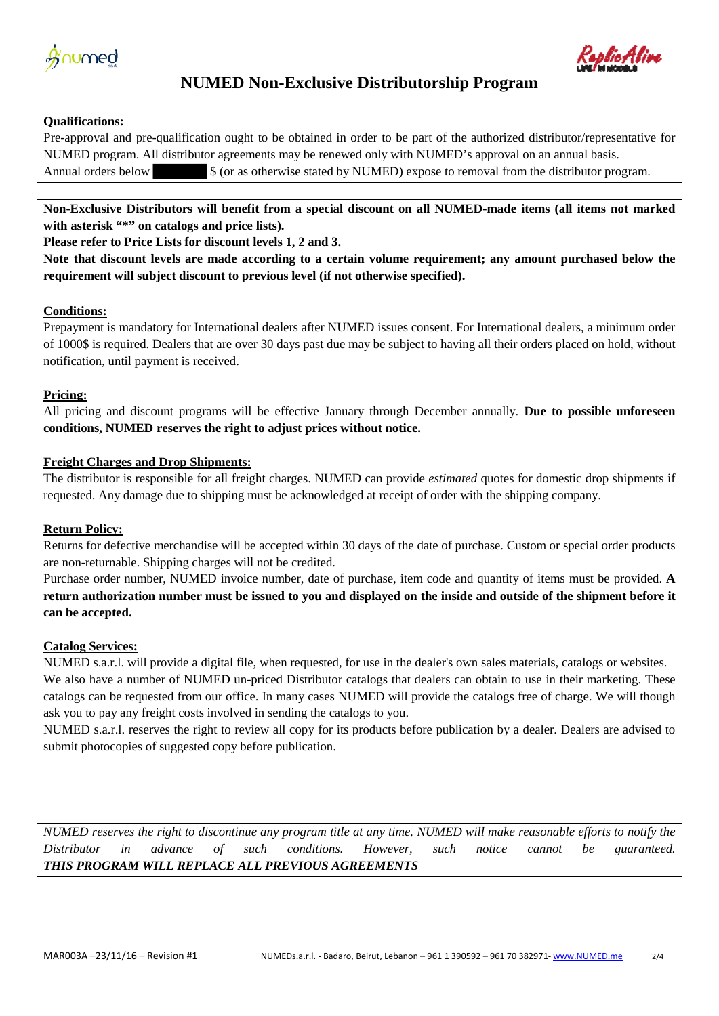



## **NUMED Non-Exclusive Distributorship Program**

#### **Qualifications:**

Pre-approval and pre-qualification ought to be obtained in order to be part of the authorized distributor/representative for NUMED program. All distributor agreements may be renewed only with NUMED's approval on an annual basis. Annual orders below  $$ (or as otherwise stated by NUMBER) expose to removal from the distribution program.$ 

**Non-Exclusive Distributors will benefit from a special discount on all NUMED-made items (all items not marked**  with asterisk "\*" on catalogs and price lists).

**Please refer to Price Lists for discount levels 1, 2 and 3.**

**Note that discount levels are made according to a certain volume requirement; any amount purchased below the requirement will subject discount to previous level (if not otherwise specified).**

### **Conditions:**

Prepayment is mandatory for International dealers after NUMED issues consent. For International dealers, a minimum order of 1000\$ is required. Dealers that are over 30 days past due may be subject to having all their orders placed on hold, without notification, until payment is received.

### **Pricing:**

All pricing and discount programs will be effective January through December annually. **Due to possible unforeseen conditions, NUMED reserves the right to adjust prices without notice.** 

### **Freight Charges and Drop Shipments:**

The distributor is responsible for all freight charges. NUMED can provide *estimated* quotes for domestic drop shipments if requested. Any damage due to shipping must be acknowledged at receipt of order with the shipping company.

## **Return Policy:**

Returns for defective merchandise will be accepted within 30 days of the date of purchase. Custom or special order products are non-returnable. Shipping charges will not be credited.

Purchase order number, NUMED invoice number, date of purchase, item code and quantity of items must be provided. **A return authorization number must be issued to you and displayed on the inside and outside of the shipment before it can be accepted.** 

#### **Catalog Services:**

NUMED s.a.r.l. will provide a digital file, when requested, for use in the dealer's own sales materials, catalogs or websites. We also have a number of NUMED un-priced Distributor catalogs that dealers can obtain to use in their marketing. These catalogs can be requested from our office. In many cases NUMED will provide the catalogs free of charge. We will though ask you to pay any freight costs involved in sending the catalogs to you.

NUMED s.a.r.l. reserves the right to review all copy for its products before publication by a dealer. Dealers are advised to submit photocopies of suggested copy before publication.

*NUMED reserves the right to discontinue any program title at any time. NUMED will make reasonable efforts to notify the Distributor in advance of such conditions. However, such notice cannot be guaranteed. THIS PROGRAM WILL REPLACE ALL PREVIOUS AGREEMENTS*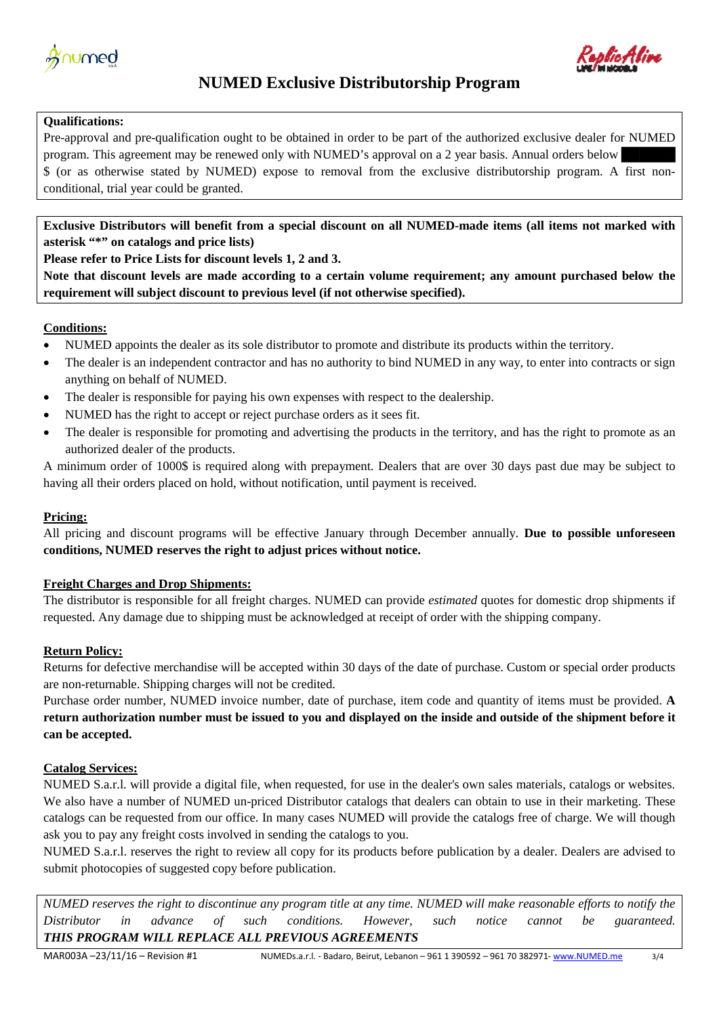



# **NUMED Exclusive Distributorship Program**

## **Qualifications:**

Pre-approval and pre-qualification ought to be obtained in order to be part of the authorized exclusive dealer for NUMED program. This agreement may be renewed only with NUMED's approval on a 2 year basis. Annual orders below \$ (or as otherwise stated by NUMED) expose to removal from the exclusive distributorship program. A first nonconditional, trial year could be granted.

**Exclusive Distributors will benefit from a special discount on all NUMED-made items (all items not marked with asterisk "\*" on catalogs and price lists)**

**Please refer to Price Lists for discount levels 1, 2 and 3.**

**Note that discount levels are made according to a certain volume requirement; any amount purchased below the requirement will subject discount to previous level (if not otherwise specified).**

## **Conditions:**

- NUMED appoints the dealer as its sole distributor to promote and distribute its products within the territory.
- The dealer is an independent contractor and has no authority to bind NUMED in any way, to enter into contracts or sign anything on behalf of NUMED.
- The dealer is responsible for paying his own expenses with respect to the dealership.
- NUMED has the right to accept or reject purchase orders as it sees fit.
- The dealer is responsible for promoting and advertising the products in the territory, and has the right to promote as an authorized dealer of the products.

A minimum order of 1000\$ is required along with prepayment. Dealers that are over 30 days past due may be subject to having all their orders placed on hold, without notification, until payment is received.

### **Pricing:**

All pricing and discount programs will be effective January through December annually. **Due to possible unforeseen conditions, NUMED reserves the right to adjust prices without notice.** 

### **Freight Charges and Drop Shipments:**

The distributor is responsible for all freight charges. NUMED can provide *estimated* quotes for domestic drop shipments if requested. Any damage due to shipping must be acknowledged at receipt of order with the shipping company.

### **Return Policy:**

Returns for defective merchandise will be accepted within 30 days of the date of purchase. Custom or special order products are non-returnable. Shipping charges will not be credited.

Purchase order number, NUMED invoice number, date of purchase, item code and quantity of items must be provided. **A return authorization number must be issued to you and displayed on the inside and outside of the shipment before it can be accepted.** 

### **Catalog Services:**

NUMED S.a.r.l. will provide a digital file, when requested, for use in the dealer's own sales materials, catalogs or websites. We also have a number of NUMED un-priced Distributor catalogs that dealers can obtain to use in their marketing. These catalogs can be requested from our office. In many cases NUMED will provide the catalogs free of charge. We will though ask you to pay any freight costs involved in sending the catalogs to you.

NUMED S.a.r.l. reserves the right to review all copy for its products before publication by a dealer. Dealers are advised to submit photocopies of suggested copy before publication.

*NUMED reserves the right to discontinue any program title at any time. NUMED will make reasonable efforts to notify the Distributor in advance of such conditions. However, such notice cannot be guaranteed. THIS PROGRAM WILL REPLACE ALL PREVIOUS AGREEMENTS*